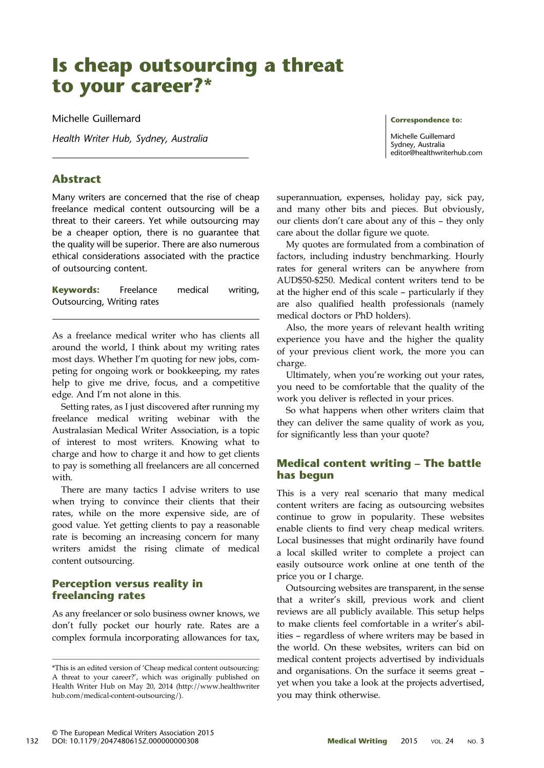# Is cheap outsourcing a threat to your career?\*

Michelle Guillemard

Health Writer Hub, Sydney, Australia

# Abstract

Many writers are concerned that the rise of cheap freelance medical content outsourcing will be a threat to their careers. Yet while outsourcing may be a cheaper option, there is no guarantee that the quality will be superior. There are also numerous ethical considerations associated with the practice of outsourcing content.

**Keywords:** Freelance medical writing, Outsourcing, Writing rates

As a freelance medical writer who has clients all around the world, I think about my writing rates most days. Whether I'm quoting for new jobs, competing for ongoing work or bookkeeping, my rates help to give me drive, focus, and a competitive edge. And I'm not alone in this.

Setting rates, as I just discovered after running my freelance medical writing webinar with the Australasian Medical Writer Association, is a topic of interest to most writers. Knowing what to charge and how to charge it and how to get clients to pay is something all freelancers are all concerned with.

There are many tactics I advise writers to use when trying to convince their clients that their rates, while on the more expensive side, are of good value. Yet getting clients to pay a reasonable rate is becoming an increasing concern for many writers amidst the rising climate of medical content outsourcing.

# Perception versus reality in freelancing rates

As any freelancer or solo business owner knows, we don't fully pocket our hourly rate. Rates are a complex formula incorporating allowances for tax,

superannuation, expenses, holiday pay, sick pay, and many other bits and pieces. But obviously, our clients don't care about any of this – they only care about the dollar figure we quote.

My quotes are formulated from a combination of factors, including industry benchmarking. Hourly rates for general writers can be anywhere from AUD\$50-\$250. Medical content writers tend to be at the higher end of this scale – particularly if they are also qualified health professionals (namely medical doctors or PhD holders).

Also, the more years of relevant health writing experience you have and the higher the quality of your previous client work, the more you can charge.

Ultimately, when you're working out your rates, you need to be comfortable that the quality of the work you deliver is reflected in your prices.

So what happens when other writers claim that they can deliver the same quality of work as you, for significantly less than your quote?

## Medical content writing – The battle has begun

This is a very real scenario that many medical content writers are facing as outsourcing websites continue to grow in popularity. These websites enable clients to find very cheap medical writers. Local businesses that might ordinarily have found a local skilled writer to complete a project can easily outsource work online at one tenth of the price you or I charge.

Outsourcing websites are transparent, in the sense that a writer's skill, previous work and client reviews are all publicly available. This setup helps to make clients feel comfortable in a writer's abilities – regardless of where writers may be based in the world. On these websites, writers can bid on medical content projects advertised by individuals and organisations. On the surface it seems great – yet when you take a look at the projects advertised, you may think otherwise.

Correspondence to: Michelle Guillemard

[editor@healthwriterhub.com](mailto:<alt-title alt-title-type=)

Sydney, Australia

<sup>\*</sup>This is an edited version of 'Cheap medical content outsourcing: A threat to your career?', which was originally published on Health Writer Hub on May 20, 2014 [\(http:](http://www.healthwriterhub.com/medical-content-outsourcing/)//[www.healthwriter](http://www.healthwriterhub.com/medical-content-outsourcing/) [hub.](http://www.healthwriterhub.com/medical-content-outsourcing/)com/[medical-content-outsourcing](http://www.healthwriterhub.com/medical-content-outsourcing/)/).